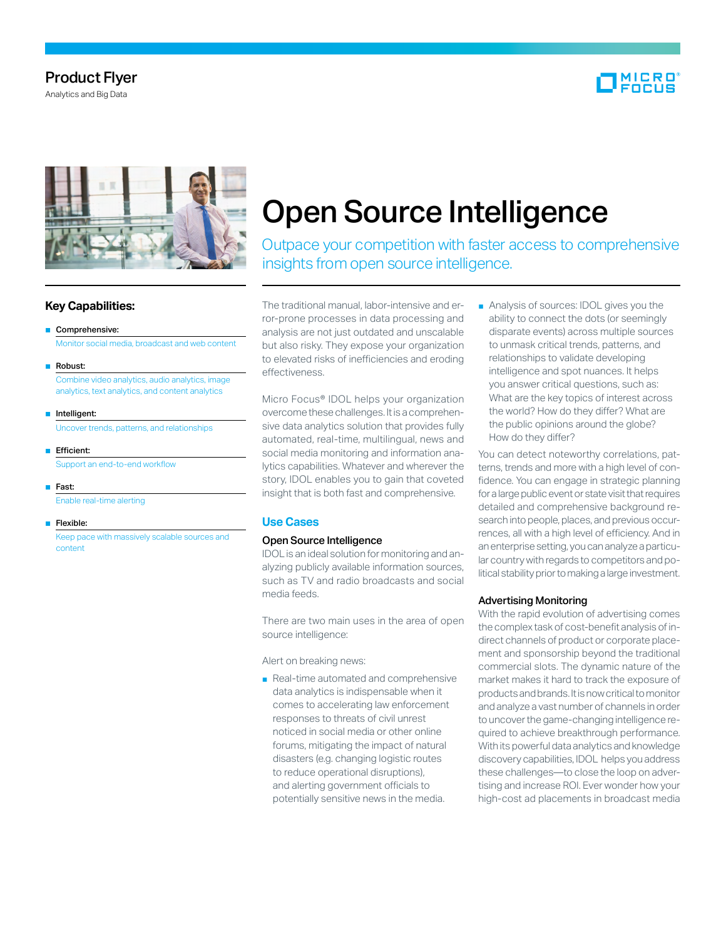## Product Flyer

Analytics and Big Data





## **Key Capabilities:**

#### ■ Comprehensive:

Monitor social media, broadcast and web content

■ Robust:

 Combine video analytics, audio analytics, image analytics, text analytics, and content analytics

- Intelligent: Uncover trends, patterns, and relationships
- Efficient: Support an end-to-end workflow
- Fast:

Enable real-time alerting

■ Flexible: Keep pace with massively scalable sources and content

# Open Source Intelligence

Outpace your competition with faster access to comprehensive insights from open source intelligence.

The traditional manual, labor-intensive and error-prone processes in data processing and analysis are not just outdated and unscalable but also risky. They expose your organization to elevated risks of inefficiencies and eroding effectiveness.

Micro Focus® IDOL helps your organization overcome these challenges. It is a comprehensive data analytics solution that provides fully automated, real-time, multilingual, news and social media monitoring and information analytics capabilities. Whatever and wherever the story, IDOL enables you to gain that coveted insight that is both fast and comprehensive.

## **Use Cases**

#### Open Source Intelligence

IDOL is an ideal solution for monitoring and analyzing publicly available information sources, such as TV and radio broadcasts and social media feeds.

There are two main uses in the area of open source intelligence:

Alert on breaking news:

■ Real-time automated and comprehensive data analytics is indispensable when it comes to accelerating law enforcement responses to threats of civil unrest noticed in social media or other online forums, mitigating the impact of natural disasters (e.g. changing logistic routes to reduce operational disruptions), and alerting government officials to potentially sensitive news in the media.

■ Analysis of sources: IDOL gives you the ability to connect the dots (or seemingly disparate events) across multiple sources to unmask critical trends, patterns, and relationships to validate developing intelligence and spot nuances. It helps you answer critical questions, such as: What are the key topics of interest across the world? How do they differ? What are the public opinions around the globe? How do they differ?

You can detect noteworthy correlations, patterns, trends and more with a high level of confidence. You can engage in strategic planning for a large public event or state visit that requires detailed and comprehensive background research into people, places, and previous occurrences, all with a high level of efficiency. And in an enterprise setting, you can analyze a particular country with regards to competitors and political stability prior to making a large investment.

## Advertising Monitoring

With the rapid evolution of advertising comes the complex task of cost-benefit analysis of indirect channels of product or corporate placement and sponsorship beyond the traditional commercial slots. The dynamic nature of the market makes it hard to track the exposure of products and brands. It is now critical to monitor and analyze a vast number of channels in order to uncover the game-changing intelligence required to achieve breakthrough performance. With its powerful data analytics and knowledge discovery capabilities, IDOL helps you address these challenges—to close the loop on advertising and increase ROI. Ever wonder how your high-cost ad placements in broadcast media